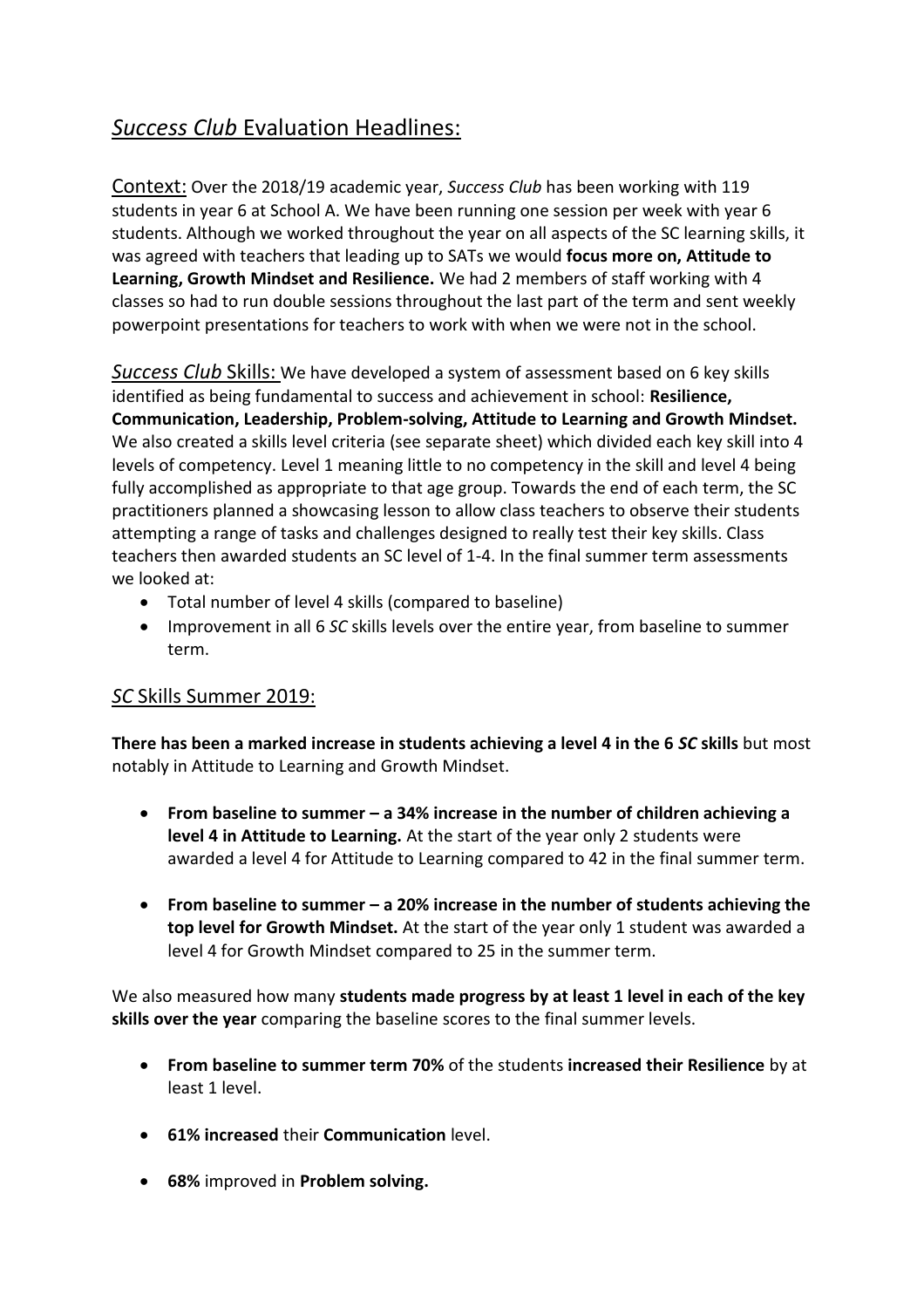# *Success Club* Evaluation Headlines:

Context: Over the 2018/19 academic year, *Success Club* has been working with 119 students in year 6 at School A. We have been running one session per week with year 6 students. Although we worked throughout the year on all aspects of the SC learning skills, it was agreed with teachers that leading up to SATs we would **focus more on, Attitude to Learning, Growth Mindset and Resilience.** We had 2 members of staff working with 4 classes so had to run double sessions throughout the last part of the term and sent weekly powerpoint presentations for teachers to work with when we were not in the school.

*Success Club* Skills: We have developed a system of assessment based on 6 key skills identified as being fundamental to success and achievement in school: **Resilience, Communication, Leadership, Problem-solving, Attitude to Learning and Growth Mindset.** We also created a skills level criteria (see separate sheet) which divided each key skill into 4 levels of competency. Level 1 meaning little to no competency in the skill and level 4 being fully accomplished as appropriate to that age group. Towards the end of each term, the SC practitioners planned a showcasing lesson to allow class teachers to observe their students attempting a range of tasks and challenges designed to really test their key skills. Class teachers then awarded students an SC level of 1-4. In the final summer term assessments we looked at:

- Total number of level 4 skills (compared to baseline)
- Improvement in all 6 *SC* skills levels over the entire year, from baseline to summer term.

## *SC* Skills Summer 2019:

**There has been a marked increase in students achieving a level 4 in the 6** *SC* **skills** but most notably in Attitude to Learning and Growth Mindset.

- **From baseline to summer – a 34% increase in the number of children achieving a level 4 in Attitude to Learning.** At the start of the year only 2 students were awarded a level 4 for Attitude to Learning compared to 42 in the final summer term.
- **From baseline to summer – a 20% increase in the number of students achieving the top level for Growth Mindset.** At the start of the year only 1 student was awarded a level 4 for Growth Mindset compared to 25 in the summer term.

We also measured how many **students made progress by at least 1 level in each of the key skills over the year** comparing the baseline scores to the final summer levels.

- **From baseline to summer term 70%** of the students **increased their Resilience** by at least 1 level.
- **61% increased** their **Communication** level.
- **68%** improved in **Problem solving.**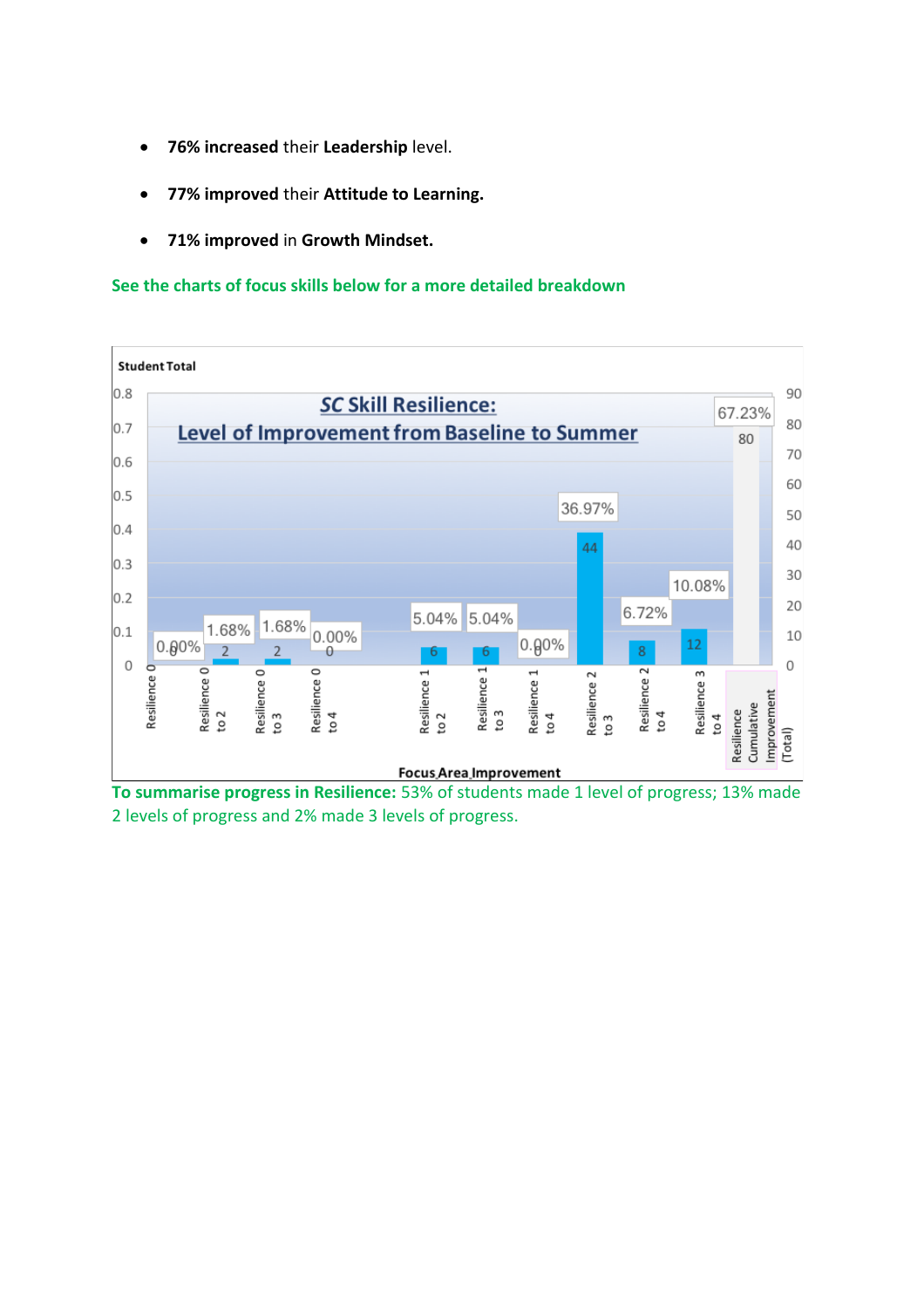- **76% increased** their **Leadership** level.
- **77% improved** their **Attitude to Learning.**
- **71% improved** in **Growth Mindset.**

#### **See the charts of focus skills below for a more detailed breakdown**



**To summarise progress in Resilience:** 53% of students made 1 level of progress; 13% made 2 levels of progress and 2% made 3 levels of progress.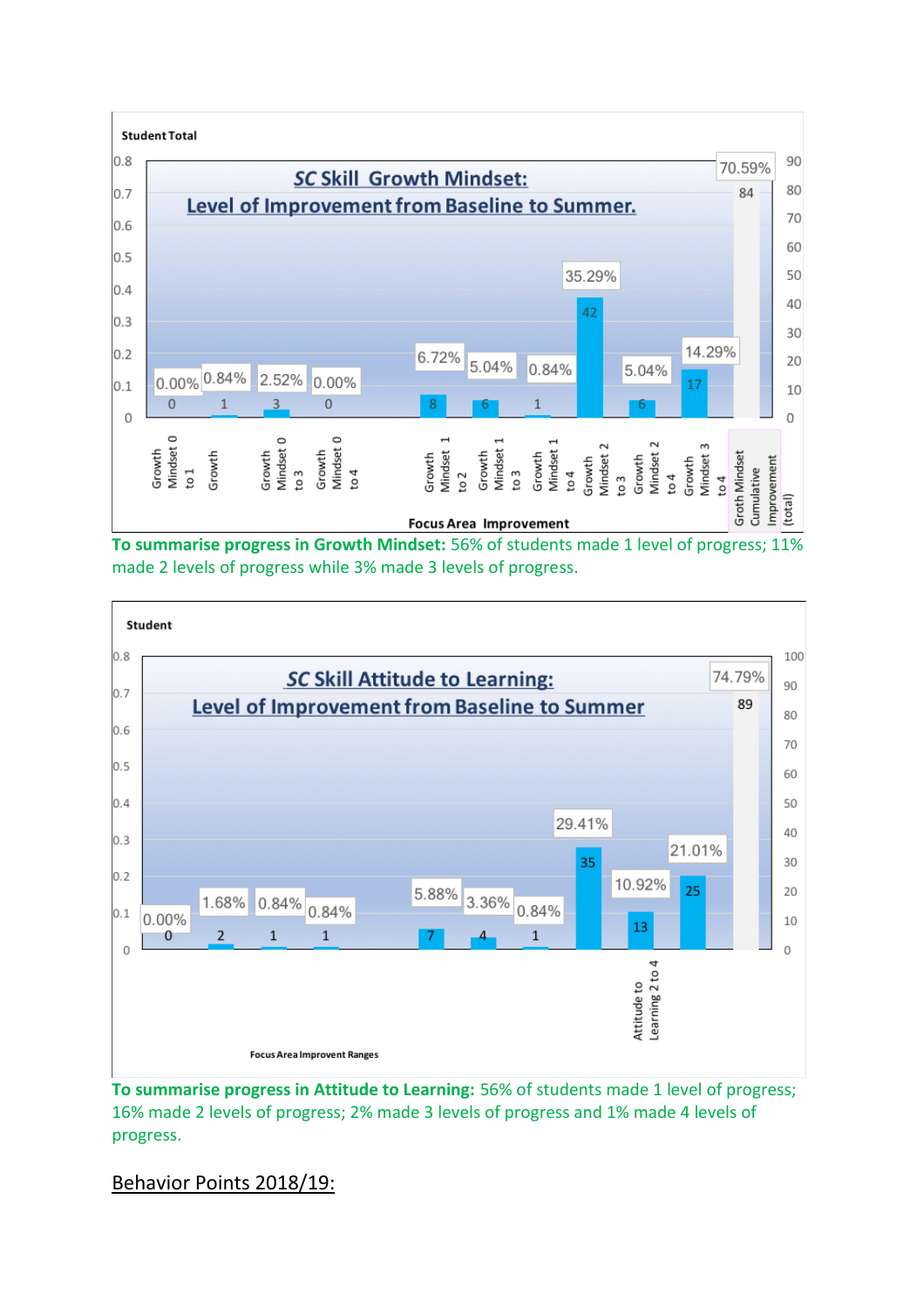

**To summarise progress in Growth Mindset:** 56% of students made 1 level of progress; 11% made 2 levels of progress while 3% made 3 levels of progress.



**To summarise progress in Attitude to Learning:** 56% of students made 1 level of progress; 16% made 2 levels of progress; 2% made 3 levels of progress and 1% made 4 levels of progress.

## Behavior Points 2018/19: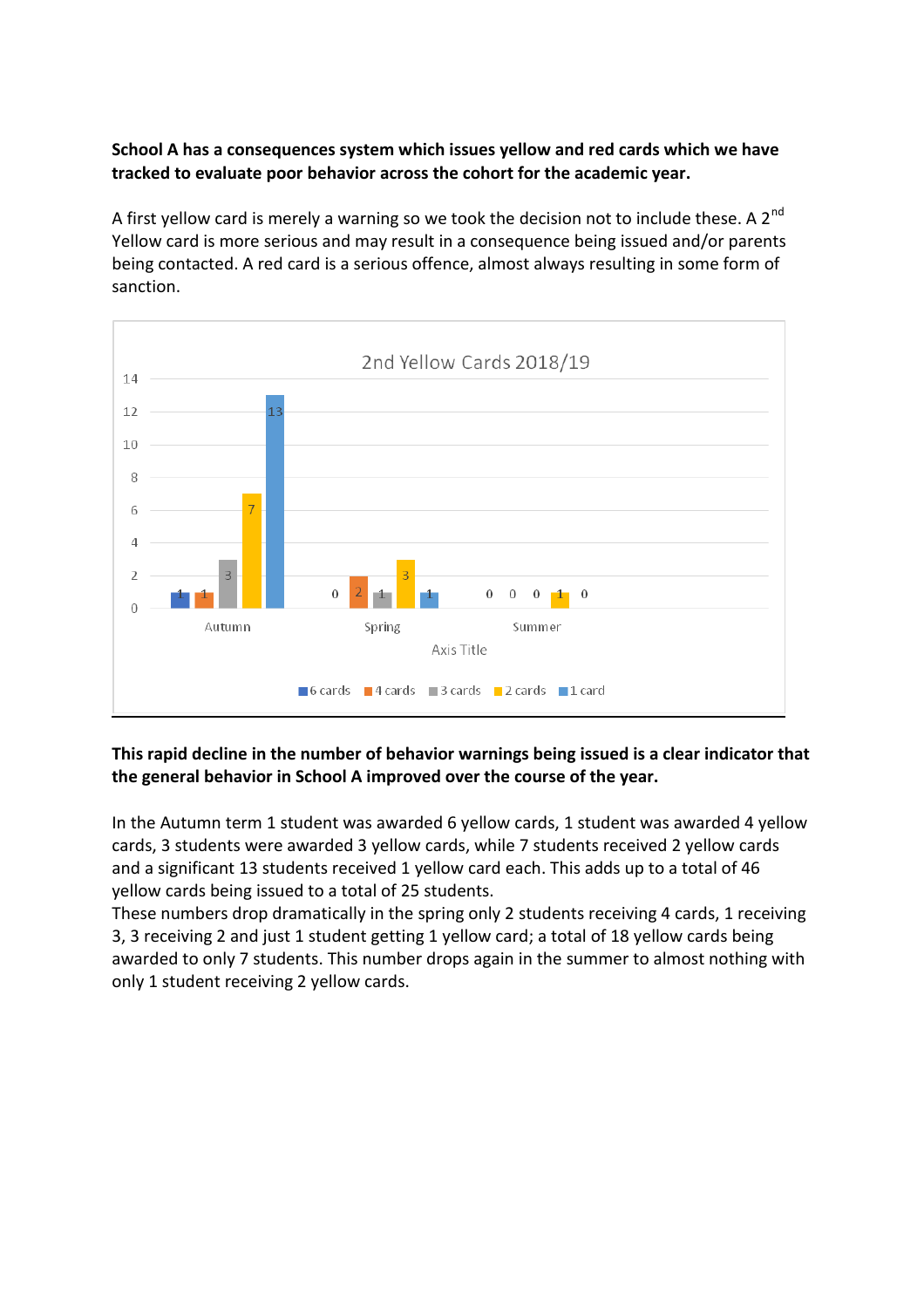**School A has a consequences system which issues yellow and red cards which we have tracked to evaluate poor behavior across the cohort for the academic year.** 

A first yellow card is merely a warning so we took the decision not to include these. A  $2^{nd}$ Yellow card is more serious and may result in a consequence being issued and/or parents being contacted. A red card is a serious offence, almost always resulting in some form of sanction.



#### **This rapid decline in the number of behavior warnings being issued is a clear indicator that the general behavior in School A improved over the course of the year.**

In the Autumn term 1 student was awarded 6 yellow cards, 1 student was awarded 4 yellow cards, 3 students were awarded 3 yellow cards, while 7 students received 2 yellow cards and a significant 13 students received 1 yellow card each. This adds up to a total of 46 yellow cards being issued to a total of 25 students.

These numbers drop dramatically in the spring only 2 students receiving 4 cards, 1 receiving 3, 3 receiving 2 and just 1 student getting 1 yellow card; a total of 18 yellow cards being awarded to only 7 students. This number drops again in the summer to almost nothing with only 1 student receiving 2 yellow cards.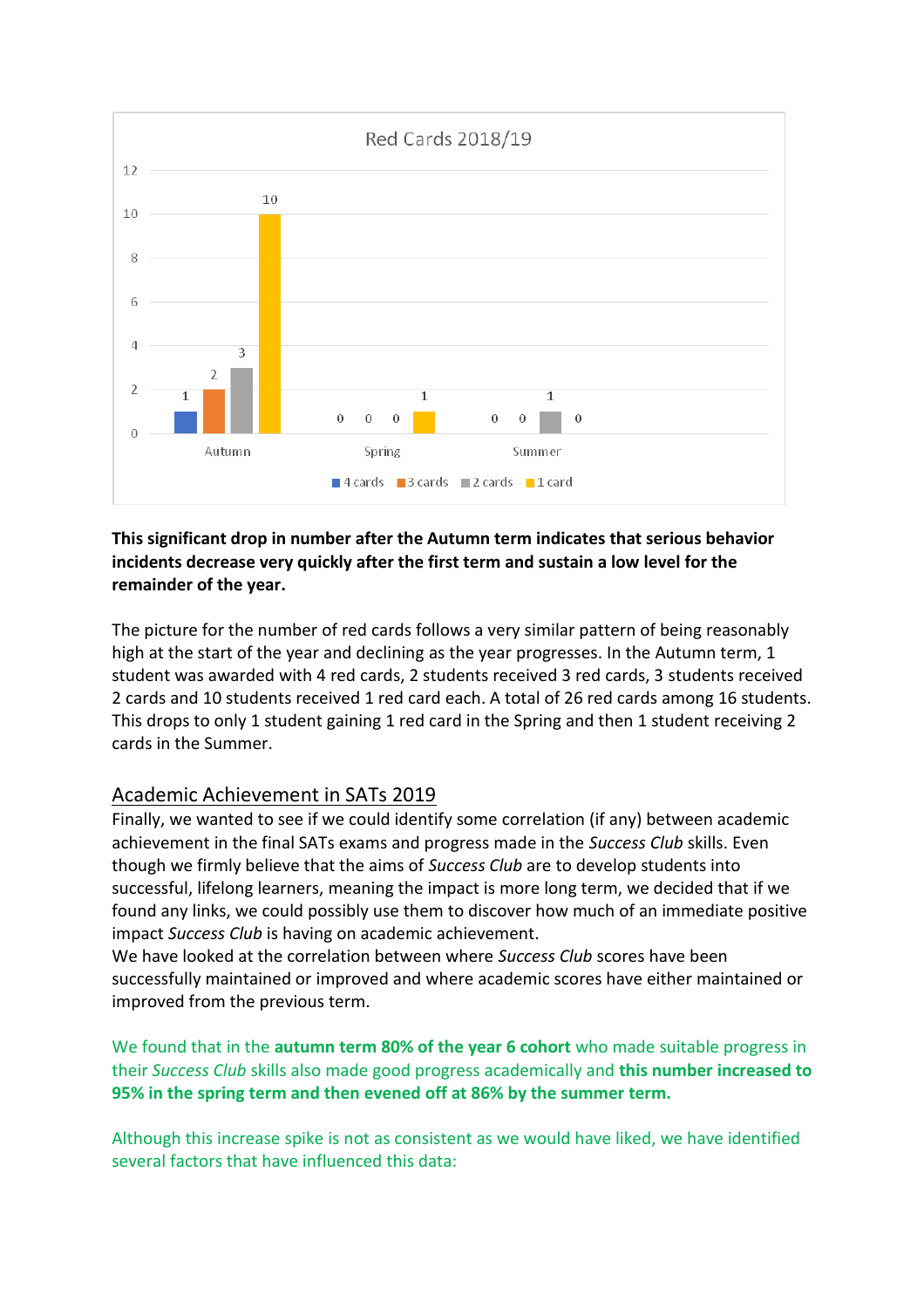

### **This significant drop in number after the Autumn term indicates that serious behavior incidents decrease very quickly after the first term and sustain a low level for the remainder of the year.**

The picture for the number of red cards follows a very similar pattern of being reasonably high at the start of the year and declining as the year progresses. In the Autumn term, 1 student was awarded with 4 red cards, 2 students received 3 red cards, 3 students received 2 cards and 10 students received 1 red card each. A total of 26 red cards among 16 students. This drops to only 1 student gaining 1 red card in the Spring and then 1 student receiving 2 cards in the Summer.

## Academic Achievement in SATs 2019

Finally, we wanted to see if we could identify some correlation (if any) between academic achievement in the final SATs exams and progress made in the *Success Club* skills. Even though we firmly believe that the aims of *Success Club* are to develop students into successful, lifelong learners, meaning the impact is more long term, we decided that if we found any links, we could possibly use them to discover how much of an immediate positive impact *Success Club* is having on academic achievement.

We have looked at the correlation between where *Success Club* scores have been successfully maintained or improved and where academic scores have either maintained or improved from the previous term.

## We found that in the **autumn term 80% of the year 6 cohort** who made suitable progress in their *Success Club* skills also made good progress academically and **this number increased to 95% in the spring term and then evened off at 86% by the summer term.**

Although this increase spike is not as consistent as we would have liked, we have identified several factors that have influenced this data: